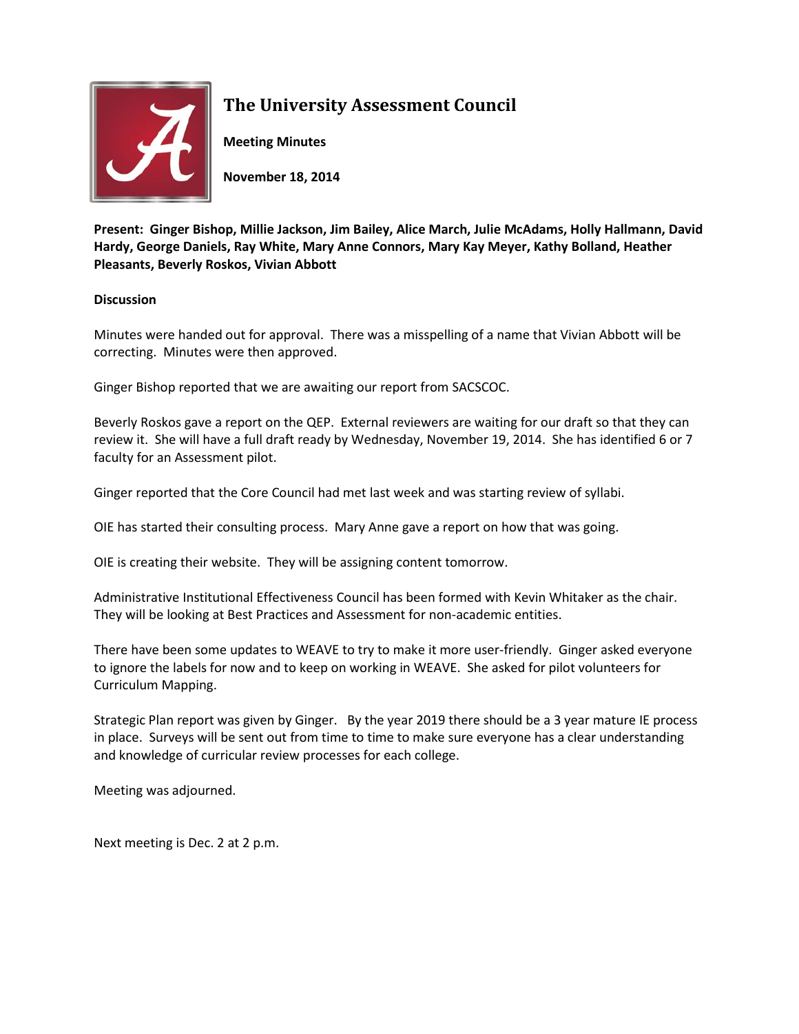

## **The University Assessment Council**

**Meeting Minutes**

**November 18, 2014**

**Present: Ginger Bishop, Millie Jackson, Jim Bailey, Alice March, Julie McAdams, Holly Hallmann, David Hardy, George Daniels, Ray White, Mary Anne Connors, Mary Kay Meyer, Kathy Bolland, Heather Pleasants, Beverly Roskos, Vivian Abbott**

## **Discussion**

Minutes were handed out for approval. There was a misspelling of a name that Vivian Abbott will be correcting. Minutes were then approved.

Ginger Bishop reported that we are awaiting our report from SACSCOC.

Beverly Roskos gave a report on the QEP. External reviewers are waiting for our draft so that they can review it. She will have a full draft ready by Wednesday, November 19, 2014. She has identified 6 or 7 faculty for an Assessment pilot.

Ginger reported that the Core Council had met last week and was starting review of syllabi.

OIE has started their consulting process. Mary Anne gave a report on how that was going.

OIE is creating their website. They will be assigning content tomorrow.

Administrative Institutional Effectiveness Council has been formed with Kevin Whitaker as the chair. They will be looking at Best Practices and Assessment for non-academic entities.

There have been some updates to WEAVE to try to make it more user-friendly. Ginger asked everyone to ignore the labels for now and to keep on working in WEAVE. She asked for pilot volunteers for Curriculum Mapping.

Strategic Plan report was given by Ginger. By the year 2019 there should be a 3 year mature IE process in place. Surveys will be sent out from time to time to make sure everyone has a clear understanding and knowledge of curricular review processes for each college.

Meeting was adjourned.

Next meeting is Dec. 2 at 2 p.m.